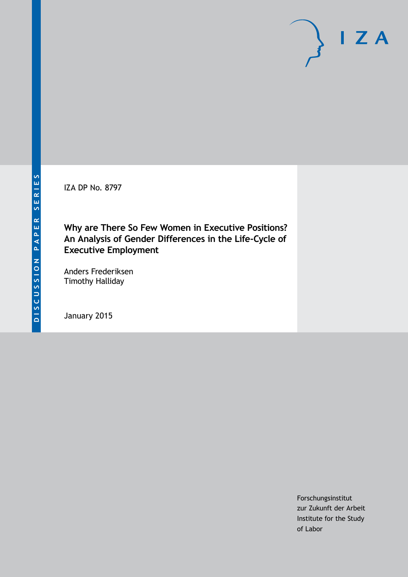IZA DP No. 8797

**Why are There So Few Women in Executive Positions? An Analysis of Gender Differences in the Life-Cycle of Executive Employment**

Anders Frederiksen Timothy Halliday

January 2015

Forschungsinstitut zur Zukunft der Arbeit Institute for the Study of Labor

 $I Z A$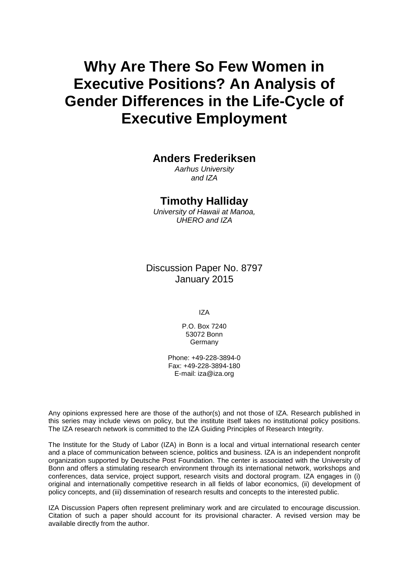# **Why Are There So Few Women in Executive Positions? An Analysis of Gender Differences in the Life-Cycle of Executive Employment**

#### **Anders Frederiksen**

*Aarhus University and IZA*

#### **Timothy Halliday**

*University of Hawaii at Manoa, UHERO and IZA*

Discussion Paper No. 8797 January 2015

IZA

P.O. Box 7240 53072 Bonn Germany

Phone: +49-228-3894-0 Fax: +49-228-3894-180 E-mail: [iza@iza.org](mailto:iza@iza.org)

Any opinions expressed here are those of the author(s) and not those of IZA. Research published in this series may include views on policy, but the institute itself takes no institutional policy positions. The IZA research network is committed to the IZA Guiding Principles of Research Integrity.

The Institute for the Study of Labor (IZA) in Bonn is a local and virtual international research center and a place of communication between science, politics and business. IZA is an independent nonprofit organization supported by Deutsche Post Foundation. The center is associated with the University of Bonn and offers a stimulating research environment through its international network, workshops and conferences, data service, project support, research visits and doctoral program. IZA engages in (i) original and internationally competitive research in all fields of labor economics, (ii) development of policy concepts, and (iii) dissemination of research results and concepts to the interested public.

IZA Discussion Papers often represent preliminary work and are circulated to encourage discussion. Citation of such a paper should account for its provisional character. A revised version may be available directly from the author.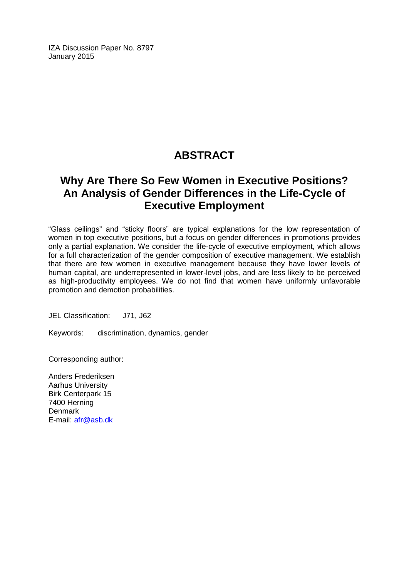IZA Discussion Paper No. 8797 January 2015

## **ABSTRACT**

### **Why Are There So Few Women in Executive Positions? An Analysis of Gender Differences in the Life-Cycle of Executive Employment**

"Glass ceilings" and "sticky floors" are typical explanations for the low representation of women in top executive positions, but a focus on gender differences in promotions provides only a partial explanation. We consider the life-cycle of executive employment, which allows for a full characterization of the gender composition of executive management. We establish that there are few women in executive management because they have lower levels of human capital, are underrepresented in lower-level jobs, and are less likely to be perceived as high-productivity employees. We do not find that women have uniformly unfavorable promotion and demotion probabilities.

JEL Classification: J71, J62

Keywords: discrimination, dynamics, gender

Corresponding author:

Anders Frederiksen Aarhus University Birk Centerpark 15 7400 Herning Denmark E-mail: [afr@asb.dk](mailto:afr@asb.dk)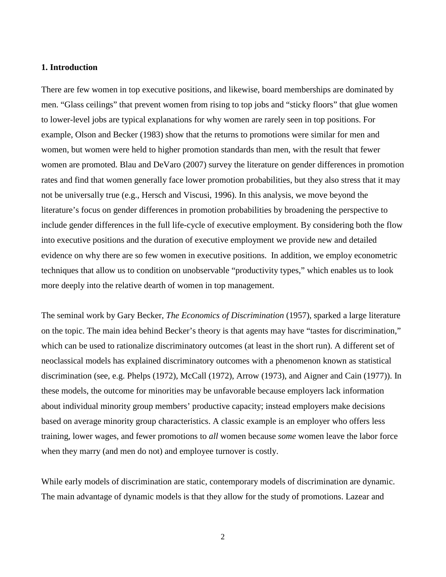#### **1. Introduction**

There are few women in top executive positions, and likewise, board memberships are dominated by men. "Glass ceilings" that prevent women from rising to top jobs and "sticky floors" that glue women to lower-level jobs are typical explanations for why women are rarely seen in top positions. For example, Olson and Becker (1983) show that the returns to promotions were similar for men and women, but women were held to higher promotion standards than men, with the result that fewer women are promoted. Blau and DeVaro (2007) survey the literature on gender differences in promotion rates and find that women generally face lower promotion probabilities, but they also stress that it may not be universally true (e.g., Hersch and Viscusi, 1996). In this analysis, we move beyond the literature's focus on gender differences in promotion probabilities by broadening the perspective to include gender differences in the full life-cycle of executive employment. By considering both the flow into executive positions and the duration of executive employment we provide new and detailed evidence on why there are so few women in executive positions. In addition, we employ econometric techniques that allow us to condition on unobservable "productivity types," which enables us to look more deeply into the relative dearth of women in top management.

The seminal work by Gary Becker, *The Economics of Discrimination* (1957), sparked a large literature on the topic. The main idea behind Becker's theory is that agents may have "tastes for discrimination," which can be used to rationalize discriminatory outcomes (at least in the short run). A different set of neoclassical models has explained discriminatory outcomes with a phenomenon known as statistical discrimination (see, e.g. Phelps (1972), McCall (1972), Arrow (1973), and Aigner and Cain (1977)). In these models, the outcome for minorities may be unfavorable because employers lack information about individual minority group members' productive capacity; instead employers make decisions based on average minority group characteristics. A classic example is an employer who offers less training, lower wages, and fewer promotions to *all* women because *some* women leave the labor force when they marry (and men do not) and employee turnover is costly.

While early models of discrimination are static, contemporary models of discrimination are dynamic. The main advantage of dynamic models is that they allow for the study of promotions. Lazear and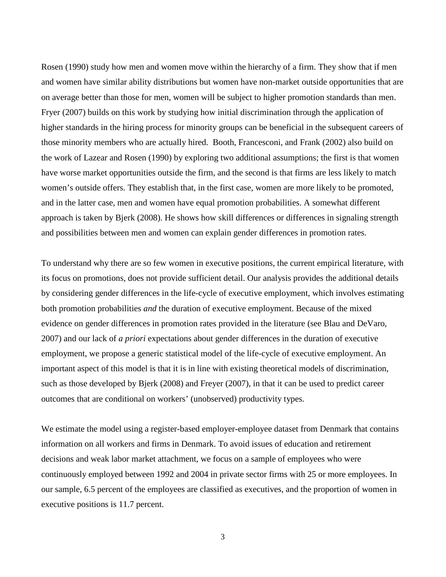Rosen (1990) study how men and women move within the hierarchy of a firm. They show that if men and women have similar ability distributions but women have non-market outside opportunities that are on average better than those for men, women will be subject to higher promotion standards than men. Fryer (2007) builds on this work by studying how initial discrimination through the application of higher standards in the hiring process for minority groups can be beneficial in the subsequent careers of those minority members who are actually hired. Booth, Francesconi, and Frank (2002) also build on the work of Lazear and Rosen (1990) by exploring two additional assumptions; the first is that women have worse market opportunities outside the firm, and the second is that firms are less likely to match women's outside offers. They establish that, in the first case, women are more likely to be promoted, and in the latter case, men and women have equal promotion probabilities. A somewhat different approach is taken by Bjerk (2008). He shows how skill differences or differences in signaling strength and possibilities between men and women can explain gender differences in promotion rates.

To understand why there are so few women in executive positions, the current empirical literature, with its focus on promotions, does not provide sufficient detail. Our analysis provides the additional details by considering gender differences in the life-cycle of executive employment, which involves estimating both promotion probabilities *and* the duration of executive employment. Because of the mixed evidence on gender differences in promotion rates provided in the literature (see Blau and DeVaro, 2007) and our lack of *a priori* expectations about gender differences in the duration of executive employment, we propose a generic statistical model of the life-cycle of executive employment. An important aspect of this model is that it is in line with existing theoretical models of discrimination, such as those developed by Bjerk (2008) and Freyer (2007), in that it can be used to predict career outcomes that are conditional on workers' (unobserved) productivity types.

We estimate the model using a register-based employer-employee dataset from Denmark that contains information on all workers and firms in Denmark. To avoid issues of education and retirement decisions and weak labor market attachment, we focus on a sample of employees who were continuously employed between 1992 and 2004 in private sector firms with 25 or more employees. In our sample, 6.5 percent of the employees are classified as executives, and the proportion of women in executive positions is 11.7 percent.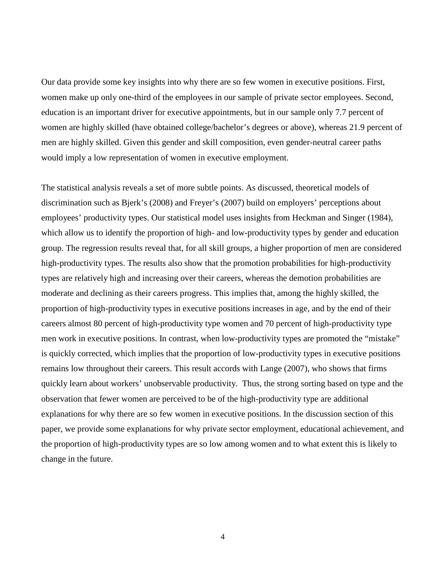Our data provide some key insights into why there are so few women in executive positions. First, women make up only one-third of the employees in our sample of private sector employees. Second, education is an important driver for executive appointments, but in our sample only 7.7 percent of women are highly skilled (have obtained college/bachelor's degrees or above), whereas 21.9 percent of men are highly skilled. Given this gender and skill composition, even gender-neutral career paths would imply a low representation of women in executive employment.

The statistical analysis reveals a set of more subtle points. As discussed, theoretical models of discrimination such as Bjerk's (2008) and Freyer's (2007) build on employers' perceptions about employees' productivity types. Our statistical model uses insights from Heckman and Singer (1984), which allow us to identify the proportion of high- and low-productivity types by gender and education group. The regression results reveal that, for all skill groups, a higher proportion of men are considered high-productivity types. The results also show that the promotion probabilities for high-productivity types are relatively high and increasing over their careers, whereas the demotion probabilities are moderate and declining as their careers progress. This implies that, among the highly skilled, the proportion of high-productivity types in executive positions increases in age, and by the end of their careers almost 80 percent of high-productivity type women and 70 percent of high-productivity type men work in executive positions. In contrast, when low-productivity types are promoted the "mistake" is quickly corrected, which implies that the proportion of low-productivity types in executive positions remains low throughout their careers. This result accords with Lange (2007), who shows that firms quickly learn about workers' unobservable productivity. Thus, the strong sorting based on type and the observation that fewer women are perceived to be of the high-productivity type are additional explanations for why there are so few women in executive positions. In the discussion section of this paper, we provide some explanations for why private sector employment, educational achievement, and the proportion of high-productivity types are so low among women and to what extent this is likely to change in the future.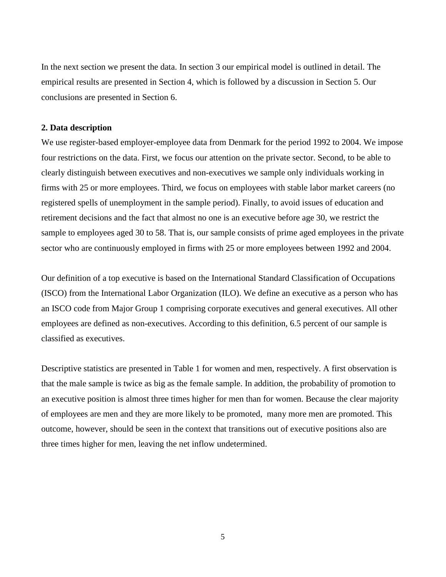In the next section we present the data. In section 3 our empirical model is outlined in detail. The empirical results are presented in Section 4, which is followed by a discussion in Section 5. Our conclusions are presented in Section 6.

#### **2. Data description**

We use register-based employer-employee data from Denmark for the period 1992 to 2004. We impose four restrictions on the data. First, we focus our attention on the private sector. Second, to be able to clearly distinguish between executives and non-executives we sample only individuals working in firms with 25 or more employees. Third, we focus on employees with stable labor market careers (no registered spells of unemployment in the sample period). Finally, to avoid issues of education and retirement decisions and the fact that almost no one is an executive before age 30, we restrict the sample to employees aged 30 to 58. That is, our sample consists of prime aged employees in the private sector who are continuously employed in firms with 25 or more employees between 1992 and 2004.

Our definition of a top executive is based on the International Standard Classification of Occupations (ISCO) from the International Labor Organization (ILO). We define an executive as a person who has an ISCO code from Major Group 1 comprising corporate executives and general executives. All other employees are defined as non-executives. According to this definition, 6.5 percent of our sample is classified as executives.

Descriptive statistics are presented in Table 1 for women and men, respectively. A first observation is that the male sample is twice as big as the female sample. In addition, the probability of promotion to an executive position is almost three times higher for men than for women. Because the clear majority of employees are men and they are more likely to be promoted, many more men are promoted. This outcome, however, should be seen in the context that transitions out of executive positions also are three times higher for men, leaving the net inflow undetermined.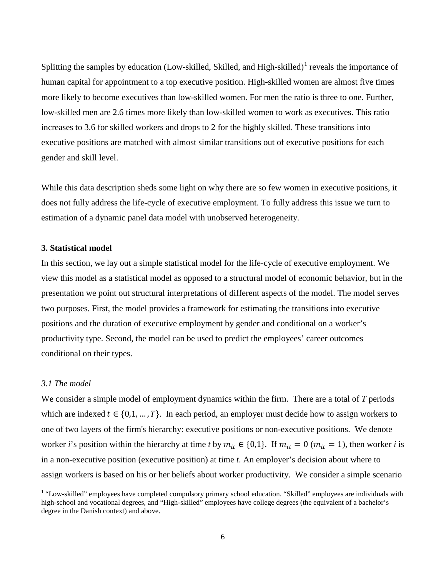Splitting the samples by education (Low-skilled, Skilled, and High-skilled)<sup>[1](#page-26-0)</sup> reveals the importance of human capital for appointment to a top executive position. High-skilled women are almost five times more likely to become executives than low-skilled women. For men the ratio is three to one. Further, low-skilled men are 2.6 times more likely than low-skilled women to work as executives. This ratio increases to 3.6 for skilled workers and drops to 2 for the highly skilled. These transitions into executive positions are matched with almost similar transitions out of executive positions for each gender and skill level.

While this data description sheds some light on why there are so few women in executive positions, it does not fully address the life-cycle of executive employment. To fully address this issue we turn to estimation of a dynamic panel data model with unobserved heterogeneity.

#### **3. Statistical model**

In this section, we lay out a simple statistical model for the life-cycle of executive employment. We view this model as a statistical model as opposed to a structural model of economic behavior, but in the presentation we point out structural interpretations of different aspects of the model. The model serves two purposes. First, the model provides a framework for estimating the transitions into executive positions and the duration of executive employment by gender and conditional on a worker's productivity type. Second, the model can be used to predict the employees' career outcomes conditional on their types.

#### *3.1 The model*

We consider a simple model of employment dynamics within the firm. There are a total of *T* periods which are indexed  $t \in \{0,1,\dots,T\}$ . In each period, an employer must decide how to assign workers to one of two layers of the firm's hierarchy: executive positions or non-executive positions. We denote worker *i*'s position within the hierarchy at time *t* by  $m_{it} \in \{0,1\}$ . If  $m_{it} = 0$  ( $m_{it} = 1$ ), then worker *i* is in a non-executive position (executive position) at time *t*. An employer's decision about where to assign workers is based on his or her beliefs about worker productivity. We consider a simple scenario

<span id="page-7-0"></span><sup>&</sup>lt;sup>1</sup> "Low-skilled" employees have completed compulsory primary school education. "Skilled" employees are individuals with high-school and vocational degrees, and "High-skilled" employees have college degrees (the equivalent of a bachelor's degree in the Danish context) and above.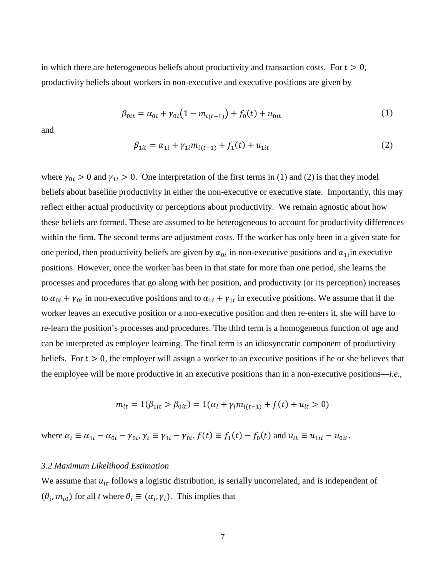in which there are heterogeneous beliefs about productivity and transaction costs. For  $t > 0$ , productivity beliefs about workers in non-executive and executive positions are given by

$$
\beta_{0it} = \alpha_{0i} + \gamma_{0i} \left( 1 - m_{i(t-1)} \right) + f_0(t) + u_{0it} \tag{1}
$$

and

$$
\beta_{1it} = \alpha_{1i} + \gamma_{1i} m_{i(t-1)} + f_1(t) + u_{1it}
$$
\n(2)

where  $\gamma_{0i} > 0$  and  $\gamma_{1i} > 0$ . One interpretation of the first terms in (1) and (2) is that they model beliefs about baseline productivity in either the non-executive or executive state. Importantly, this may reflect either actual productivity or perceptions about productivity. We remain agnostic about how these beliefs are formed. These are assumed to be heterogeneous to account for productivity differences within the firm. The second terms are adjustment costs. If the worker has only been in a given state for one period, then productivity beliefs are given by  $\alpha_{0i}$  in non-executive positions and  $\alpha_{1i}$  in executive positions. However, once the worker has been in that state for more than one period, she learns the processes and procedures that go along with her position, and productivity (or its perception) increases to  $\alpha_{0i} + \gamma_{0i}$  in non-executive positions and to  $\alpha_{1i} + \gamma_{1i}$  in executive positions. We assume that if the worker leaves an executive position or a non-executive position and then re-enters it, she will have to re-learn the position's processes and procedures. The third term is a homogeneous function of age and can be interpreted as employee learning. The final term is an idiosyncratic component of productivity beliefs. For  $t > 0$ , the employer will assign a worker to an executive positions if he or she believes that the employee will be more productive in an executive positions than in a non-executive positions—*i.e.*,

$$
m_{it} = 1(\beta_{1it} > \beta_{0it}) = 1(\alpha_i + \gamma_i m_{i(t-1)} + f(t) + u_{it} > 0)
$$

where  $\alpha_i \equiv \alpha_{1i} - \alpha_{0i} - \gamma_{0i}$ ,  $\gamma_i \equiv \gamma_{1i} - \gamma_{0i}$ ,  $f(t) \equiv f_1(t) - f_0(t)$  and  $u_{it} \equiv u_{1it} - u_{0it}$ .

#### *3.2 Maximum Likelihood Estimation*

We assume that  $u_{it}$  follows a logistic distribution, is serially uncorrelated, and is independent of  $(\theta_i, m_{i0})$  for all *t* where  $\theta_i \equiv (\alpha_i, \gamma_i)$ . This implies that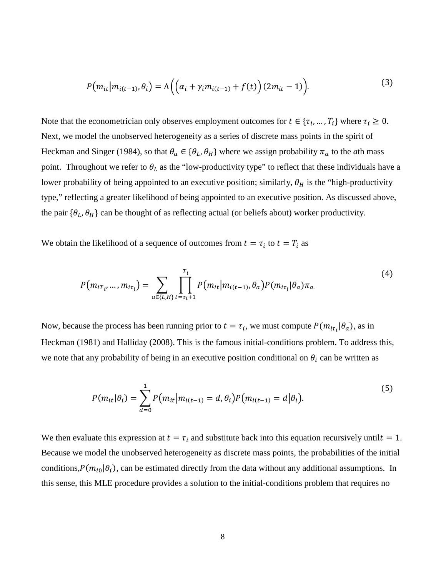$$
P(m_{it}|m_{i(t-1)},\theta_i) = \Lambda\left(\left(\alpha_i + \gamma_i m_{i(t-1)} + f(t)\right)(2m_{it} - 1)\right).
$$
\n(3)

Note that the econometrician only observes employment outcomes for  $t \in \{\tau_i, ..., T_i\}$  where  $\tau_i \geq 0$ . Next, we model the unobserved heterogeneity as a series of discrete mass points in the spirit of Heckman and Singer (1984), so that  $\theta_a \in {\theta_L, \theta_H}$  where we assign probability  $\pi_a$  to the *a*th mass point. Throughout we refer to  $\theta_L$  as the "low-productivity type" to reflect that these individuals have a lower probability of being appointed to an executive position; similarly,  $\theta_H$  is the "high-productivity" type," reflecting a greater likelihood of being appointed to an executive position. As discussed above, the pair  $\{\theta_L, \theta_H\}$  can be thought of as reflecting actual (or beliefs about) worker productivity.

We obtain the likelihood of a sequence of outcomes from  $t = \tau_i$  to  $t = T_i$  as

$$
P(m_{iT_{i}},...,m_{i\tau_{i}}) = \sum_{a \in \{L,H\}} \prod_{t=\tau_{i}+1}^{T_{i}} P(m_{it}|m_{i(t-1)},\theta_{a}) P(m_{i\tau_{i}}|\theta_{a}) \pi_{a}.
$$
\n(4)

Now, because the process has been running prior to  $t = \tau_i$ , we must compute  $P(m_{i\tau_i}|\theta_a)$ , as in Heckman (1981) and Halliday (2008). This is the famous initial-conditions problem. To address this, we note that any probability of being in an executive position conditional on  $\theta_i$  can be written as

$$
P(m_{it}|\theta_i) = \sum_{d=0}^{1} P(m_{it}|m_{i(t-1)} = d, \theta_i) P(m_{i(t-1)} = d|\theta_i).
$$
\n(5)

We then evaluate this expression at  $t = \tau_i$  and substitute back into this equation recursively until  $t = 1$ . Because we model the unobserved heterogeneity as discrete mass points, the probabilities of the initial conditions, $P(m_{i0}|\theta_i)$ , can be estimated directly from the data without any additional assumptions. In this sense, this MLE procedure provides a solution to the initial-conditions problem that requires no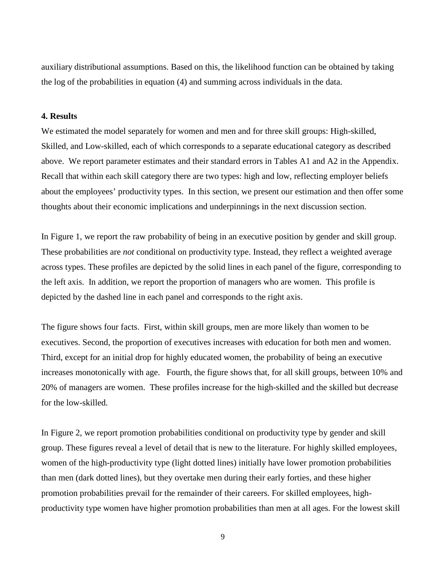auxiliary distributional assumptions. Based on this, the likelihood function can be obtained by taking the log of the probabilities in equation (4) and summing across individuals in the data.

#### **4. Results**

We estimated the model separately for women and men and for three skill groups: High-skilled, Skilled, and Low-skilled, each of which corresponds to a separate educational category as described above. We report parameter estimates and their standard errors in Tables A1 and A2 in the Appendix. Recall that within each skill category there are two types: high and low, reflecting employer beliefs about the employees' productivity types. In this section, we present our estimation and then offer some thoughts about their economic implications and underpinnings in the next discussion section.

In Figure 1, we report the raw probability of being in an executive position by gender and skill group. These probabilities are *not* conditional on productivity type. Instead, they reflect a weighted average across types. These profiles are depicted by the solid lines in each panel of the figure, corresponding to the left axis. In addition, we report the proportion of managers who are women. This profile is depicted by the dashed line in each panel and corresponds to the right axis.

The figure shows four facts. First, within skill groups, men are more likely than women to be executives. Second, the proportion of executives increases with education for both men and women. Third, except for an initial drop for highly educated women, the probability of being an executive increases monotonically with age. Fourth, the figure shows that, for all skill groups, between 10% and 20% of managers are women. These profiles increase for the high-skilled and the skilled but decrease for the low-skilled.

In Figure 2, we report promotion probabilities conditional on productivity type by gender and skill group. These figures reveal a level of detail that is new to the literature. For highly skilled employees, women of the high-productivity type (light dotted lines) initially have lower promotion probabilities than men (dark dotted lines), but they overtake men during their early forties, and these higher promotion probabilities prevail for the remainder of their careers. For skilled employees, highproductivity type women have higher promotion probabilities than men at all ages. For the lowest skill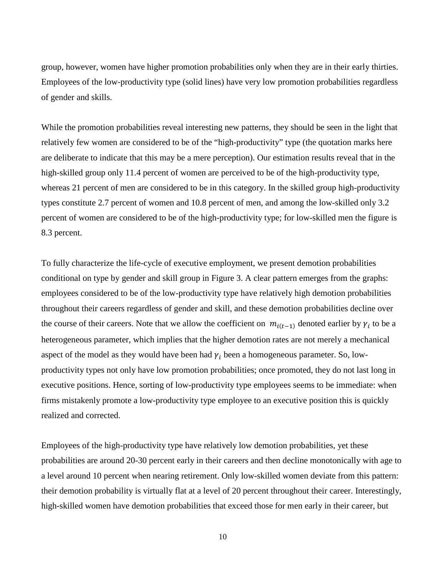group, however, women have higher promotion probabilities only when they are in their early thirties. Employees of the low-productivity type (solid lines) have very low promotion probabilities regardless of gender and skills.

While the promotion probabilities reveal interesting new patterns, they should be seen in the light that relatively few women are considered to be of the "high-productivity" type (the quotation marks here are deliberate to indicate that this may be a mere perception). Our estimation results reveal that in the high-skilled group only 11.4 percent of women are perceived to be of the high-productivity type, whereas 21 percent of men are considered to be in this category. In the skilled group high-productivity types constitute 2.7 percent of women and 10.8 percent of men, and among the low-skilled only 3.2 percent of women are considered to be of the high-productivity type; for low-skilled men the figure is 8.3 percent.

To fully characterize the life-cycle of executive employment, we present demotion probabilities conditional on type by gender and skill group in Figure 3. A clear pattern emerges from the graphs: employees considered to be of the low-productivity type have relatively high demotion probabilities throughout their careers regardless of gender and skill, and these demotion probabilities decline over the course of their careers. Note that we allow the coefficient on  $m_{i(t-1)}$  denoted earlier by  $\gamma_i$  to be a heterogeneous parameter, which implies that the higher demotion rates are not merely a mechanical aspect of the model as they would have been had  $\gamma_i$  been a homogeneous parameter. So, lowproductivity types not only have low promotion probabilities; once promoted, they do not last long in executive positions. Hence, sorting of low-productivity type employees seems to be immediate: when firms mistakenly promote a low-productivity type employee to an executive position this is quickly realized and corrected.

Employees of the high-productivity type have relatively low demotion probabilities, yet these probabilities are around 20-30 percent early in their careers and then decline monotonically with age to a level around 10 percent when nearing retirement. Only low-skilled women deviate from this pattern: their demotion probability is virtually flat at a level of 20 percent throughout their career. Interestingly, high-skilled women have demotion probabilities that exceed those for men early in their career, but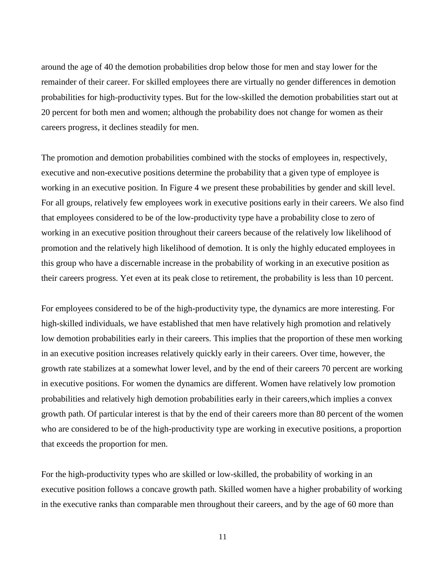around the age of 40 the demotion probabilities drop below those for men and stay lower for the remainder of their career. For skilled employees there are virtually no gender differences in demotion probabilities for high-productivity types. But for the low-skilled the demotion probabilities start out at 20 percent for both men and women; although the probability does not change for women as their careers progress, it declines steadily for men.

The promotion and demotion probabilities combined with the stocks of employees in, respectively, executive and non-executive positions determine the probability that a given type of employee is working in an executive position. In Figure 4 we present these probabilities by gender and skill level. For all groups, relatively few employees work in executive positions early in their careers. We also find that employees considered to be of the low-productivity type have a probability close to zero of working in an executive position throughout their careers because of the relatively low likelihood of promotion and the relatively high likelihood of demotion. It is only the highly educated employees in this group who have a discernable increase in the probability of working in an executive position as their careers progress. Yet even at its peak close to retirement, the probability is less than 10 percent.

For employees considered to be of the high-productivity type, the dynamics are more interesting. For high-skilled individuals, we have established that men have relatively high promotion and relatively low demotion probabilities early in their careers. This implies that the proportion of these men working in an executive position increases relatively quickly early in their careers. Over time, however, the growth rate stabilizes at a somewhat lower level, and by the end of their careers 70 percent are working in executive positions. For women the dynamics are different. Women have relatively low promotion probabilities and relatively high demotion probabilities early in their careers,which implies a convex growth path. Of particular interest is that by the end of their careers more than 80 percent of the women who are considered to be of the high-productivity type are working in executive positions, a proportion that exceeds the proportion for men.

For the high-productivity types who are skilled or low-skilled, the probability of working in an executive position follows a concave growth path. Skilled women have a higher probability of working in the executive ranks than comparable men throughout their careers, and by the age of 60 more than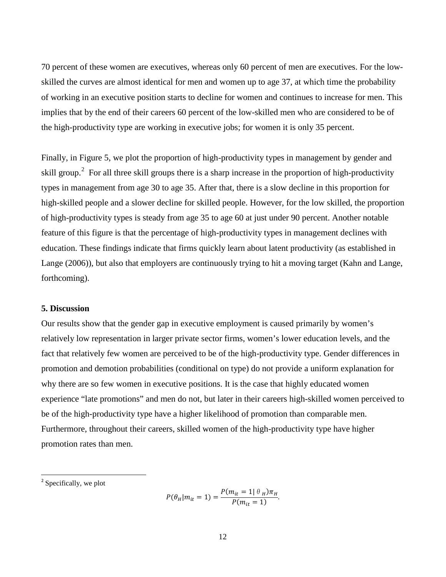70 percent of these women are executives, whereas only 60 percent of men are executives. For the lowskilled the curves are almost identical for men and women up to age 37, at which time the probability of working in an executive position starts to decline for women and continues to increase for men. This implies that by the end of their careers 60 percent of the low-skilled men who are considered to be of the high-productivity type are working in executive jobs; for women it is only 35 percent.

Finally, in Figure 5, we plot the proportion of high-productivity types in management by gender and skill group.<sup>[2](#page-7-0)</sup> For all three skill groups there is a sharp increase in the proportion of high-productivity types in management from age 30 to age 35. After that, there is a slow decline in this proportion for high-skilled people and a slower decline for skilled people. However, for the low skilled, the proportion of high-productivity types is steady from age 35 to age 60 at just under 90 percent. Another notable feature of this figure is that the percentage of high-productivity types in management declines with education. These findings indicate that firms quickly learn about latent productivity (as established in Lange (2006)), but also that employers are continuously trying to hit a moving target (Kahn and Lange, forthcoming).

#### **5. Discussion**

Our results show that the gender gap in executive employment is caused primarily by women's relatively low representation in larger private sector firms, women's lower education levels, and the fact that relatively few women are perceived to be of the high-productivity type. Gender differences in promotion and demotion probabilities (conditional on type) do not provide a uniform explanation for why there are so few women in executive positions. It is the case that highly educated women experience "late promotions" and men do not, but later in their careers high-skilled women perceived to be of the high-productivity type have a higher likelihood of promotion than comparable men. Furthermore, throughout their careers, skilled women of the high-productivity type have higher promotion rates than men.

$$
P(\theta_H|m_{it}=1) = \frac{P(m_{it}=1| \theta_H)\pi_H}{P(m_{it}=1)}.
$$

<sup>&</sup>lt;sup>2</sup> Specifically, we plot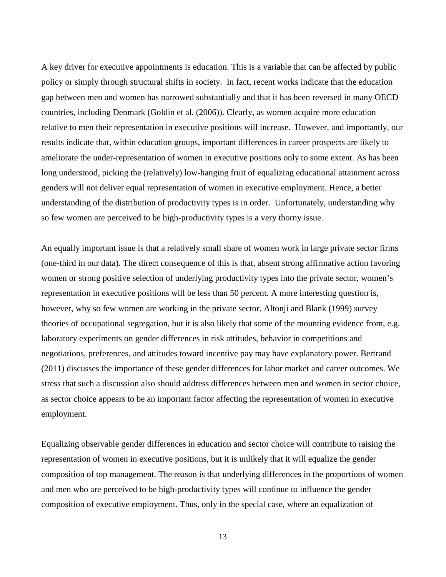A key driver for executive appointments is education. This is a variable that can be affected by public policy or simply through structural shifts in society. In fact, recent works indicate that the education gap between men and women has narrowed substantially and that it has been reversed in many OECD countries, including Denmark (Goldin et al. (2006)). Clearly, as women acquire more education relative to men their representation in executive positions will increase. However, and importantly, our results indicate that, within education groups, important differences in career prospects are likely to ameliorate the under-representation of women in executive positions only to some extent. As has been long understood, picking the (relatively) low-hanging fruit of equalizing educational attainment across genders will not deliver equal representation of women in executive employment. Hence, a better understanding of the distribution of productivity types is in order. Unfortunately, understanding why so few women are perceived to be high-productivity types is a very thorny issue.

An equally important issue is that a relatively small share of women work in large private sector firms (one-third in our data). The direct consequence of this is that, absent strong affirmative action favoring women or strong positive selection of underlying productivity types into the private sector, women's representation in executive positions will be less than 50 percent. A more interesting question is, however, why so few women are working in the private sector. Altonji and Blank (1999) survey theories of occupational segregation, but it is also likely that some of the mounting evidence from, e.g. laboratory experiments on gender differences in risk attitudes, behavior in competitions and negotiations, preferences, and attitudes toward incentive pay may have explanatory power. Bertrand (2011) discusses the importance of these gender differences for labor market and career outcomes. We stress that such a discussion also should address differences between men and women in sector choice, as sector choice appears to be an important factor affecting the representation of women in executive employment.

Equalizing observable gender differences in education and sector choice will contribute to raising the representation of women in executive positions, but it is unlikely that it will equalize the gender composition of top management. The reason is that underlying differences in the proportions of women and men who are perceived to be high-productivity types will continue to influence the gender composition of executive employment. Thus, only in the special case, where an equalization of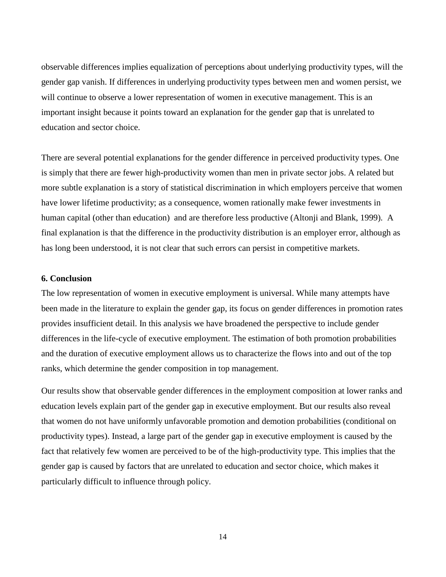observable differences implies equalization of perceptions about underlying productivity types, will the gender gap vanish. If differences in underlying productivity types between men and women persist, we will continue to observe a lower representation of women in executive management. This is an important insight because it points toward an explanation for the gender gap that is unrelated to education and sector choice.

There are several potential explanations for the gender difference in perceived productivity types. One is simply that there are fewer high-productivity women than men in private sector jobs. A related but more subtle explanation is a story of statistical discrimination in which employers perceive that women have lower lifetime productivity; as a consequence, women rationally make fewer investments in human capital (other than education) and are therefore less productive (Altonji and Blank, 1999). A final explanation is that the difference in the productivity distribution is an employer error, although as has long been understood, it is not clear that such errors can persist in competitive markets.

#### **6. Conclusion**

The low representation of women in executive employment is universal. While many attempts have been made in the literature to explain the gender gap, its focus on gender differences in promotion rates provides insufficient detail. In this analysis we have broadened the perspective to include gender differences in the life-cycle of executive employment. The estimation of both promotion probabilities and the duration of executive employment allows us to characterize the flows into and out of the top ranks, which determine the gender composition in top management.

Our results show that observable gender differences in the employment composition at lower ranks and education levels explain part of the gender gap in executive employment. But our results also reveal that women do not have uniformly unfavorable promotion and demotion probabilities (conditional on productivity types). Instead, a large part of the gender gap in executive employment is caused by the fact that relatively few women are perceived to be of the high-productivity type. This implies that the gender gap is caused by factors that are unrelated to education and sector choice, which makes it particularly difficult to influence through policy.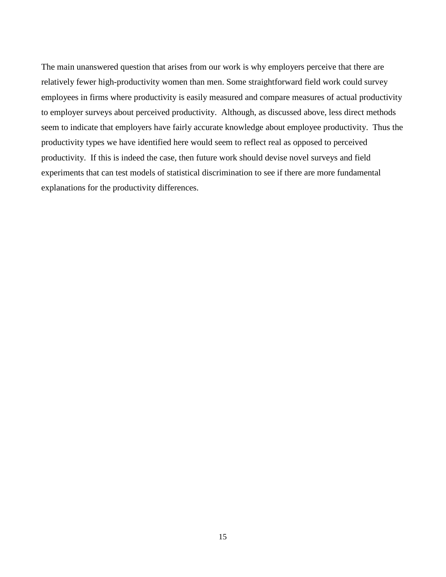The main unanswered question that arises from our work is why employers perceive that there are relatively fewer high-productivity women than men. Some straightforward field work could survey employees in firms where productivity is easily measured and compare measures of actual productivity to employer surveys about perceived productivity. Although, as discussed above, less direct methods seem to indicate that employers have fairly accurate knowledge about employee productivity. Thus the productivity types we have identified here would seem to reflect real as opposed to perceived productivity. If this is indeed the case, then future work should devise novel surveys and field experiments that can test models of statistical discrimination to see if there are more fundamental explanations for the productivity differences.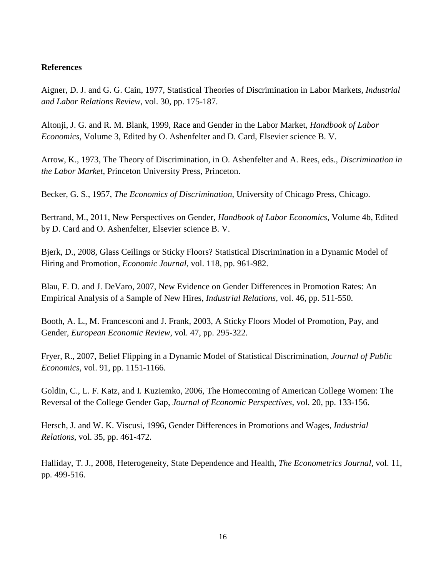#### **References**

Aigner, D. J. and G. G. Cain, 1977, Statistical Theories of Discrimination in Labor Markets, *Industrial and Labor Relations Review*, vol. 30, pp. 175-187.

Altonji, J. G. and R. M. Blank, 1999, Race and Gender in the Labor Market, *Handbook of Labor Economics,* Volume 3, Edited by O. Ashenfelter and D. Card, Elsevier science B. V.

Arrow, K., 1973, The Theory of Discrimination, in O. Ashenfelter and A. Rees, eds., *Discrimination in the Labor Market*, Princeton University Press, Princeton.

Becker, G. S., 1957, *The Economics of Discrimination*, University of Chicago Press, Chicago.

Bertrand, M., 2011, New Perspectives on Gender, *Handbook of Labor Economics,* Volume 4b, Edited by D. Card and O. Ashenfelter, Elsevier science B. V.

Bjerk, D., 2008, Glass Ceilings or Sticky Floors? Statistical Discrimination in a Dynamic Model of Hiring and Promotion, *Economic Journal*, vol. 118, pp. 961-982.

Blau, F. D. and J. DeVaro, 2007, New Evidence on Gender Differences in Promotion Rates: An Empirical Analysis of a Sample of New Hires, *Industrial Relations*, vol. 46, pp. 511-550.

Booth, A. L., M. Francesconi and J. Frank, 2003, A Sticky Floors Model of Promotion, Pay, and Gender, *European Economic Review*, vol. 47, pp. 295-322.

Fryer, R., 2007, Belief Flipping in a Dynamic Model of Statistical Discrimination, *Journal of Public Economics*, vol. 91, pp. 1151-1166.

Goldin, C., L. F. Katz, and I. Kuziemko, 2006, The Homecoming of American College Women: The Reversal of the College Gender Gap, *Journal of Economic Perspectives*, vol. 20, pp. 133-156.

Hersch, J. and W. K. Viscusi, 1996, Gender Differences in Promotions and Wages, *Industrial Relations*, vol. 35, pp. 461-472.

Halliday, T. J., 2008, Heterogeneity, State Dependence and Health, *The Econometrics Journal,* vol. 11, pp. 499-516.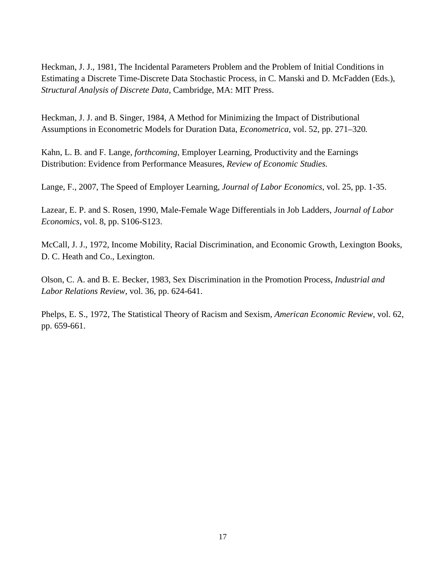Heckman, J. J., 1981, The Incidental Parameters Problem and the Problem of Initial Conditions in Estimating a Discrete Time-Discrete Data Stochastic Process, in C. Manski and D. McFadden (Eds.), *Structural Analysis of Discrete Data*, Cambridge, MA: MIT Press.

Heckman, J. J. and B. Singer, 1984, A Method for Minimizing the Impact of Distributional Assumptions in Econometric Models for Duration Data, *Econometrica,* vol. 52, pp. 271*–*320*.*

Kahn, L. B. and F. Lange, *forthcoming*, Employer Learning, Productivity and the Earnings Distribution: Evidence from Performance Measures, *Review of Economic Studies.*

Lange, F., 2007, The Speed of Employer Learning, *Journal of Labor Economics*, vol. 25, pp. 1-35.

Lazear, E. P. and S. Rosen, 1990, Male-Female Wage Differentials in Job Ladders, *Journal of Labor Economics,* vol. 8, pp. S106-S123.

McCall, J. J., 1972, Income Mobility, Racial Discrimination, and Economic Growth, Lexington Books, D. C. Heath and Co., Lexington.

Olson, C. A. and B. E. Becker, 1983, Sex Discrimination in the Promotion Process, *Industrial and Labor Relations Review*, vol. 36, pp. 624-641.

Phelps, E. S., 1972, The Statistical Theory of Racism and Sexism, *American Economic Review,* vol. 62, pp. 659-661.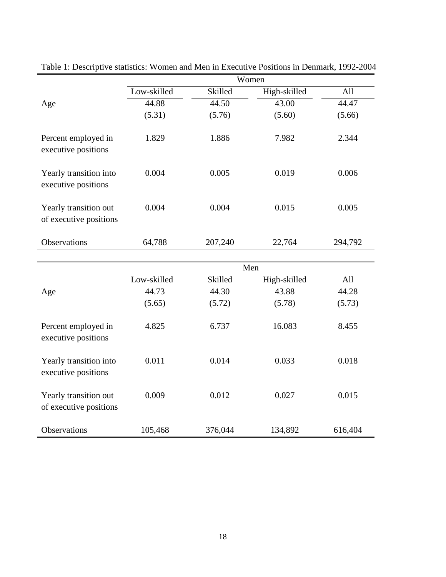|                                                 | Women       |         |              |         |  |
|-------------------------------------------------|-------------|---------|--------------|---------|--|
|                                                 | Low-skilled | Skilled | High-skilled | All     |  |
| Age                                             | 44.88       | 44.50   | 43.00        | 44.47   |  |
|                                                 | (5.31)      | (5.76)  | (5.60)       | (5.66)  |  |
| Percent employed in<br>executive positions      | 1.829       | 1.886   | 7.982        | 2.344   |  |
| Yearly transition into<br>executive positions   | 0.004       | 0.005   | 0.019        | 0.006   |  |
| Yearly transition out<br>of executive positions | 0.004       | 0.004   | 0.015        | 0.005   |  |
| <b>Observations</b>                             | 64,788      | 207,240 | 22,764       | 294,792 |  |
|                                                 |             |         |              |         |  |
|                                                 | Men         |         |              |         |  |
|                                                 | Low-skilled | Skilled | High-skilled | All     |  |
| Age                                             | 44.73       | 44.30   | 43.88        | 44.28   |  |
|                                                 | (5.65)      | (5.72)  | (5.78)       | (5.73)  |  |
| Percent employed in<br>executive positions      | 4.825       | 6.737   | 16.083       | 8.455   |  |
| Yearly transition into<br>executive positions   | 0.011       | 0.014   | 0.033        | 0.018   |  |
| Yearly transition out<br>of executive positions | 0.009       | 0.012   | 0.027        | 0.015   |  |
| Observations                                    | 105,468     | 376,044 | 134,892      | 616,404 |  |

Table 1: Descriptive statistics: Women and Men in Executive Positions in Denmark, 1992-2004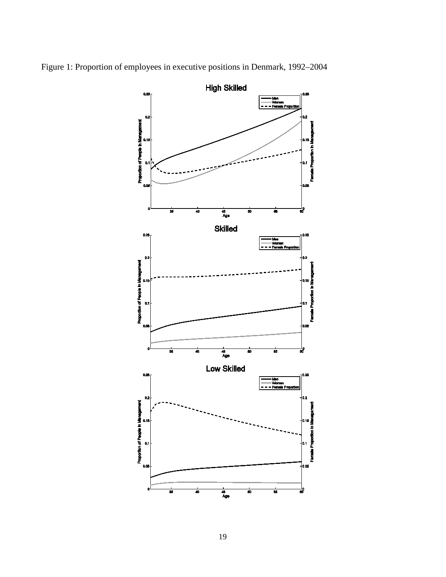

Figure 1: Proportion of employees in executive positions in Denmark, 1992–2004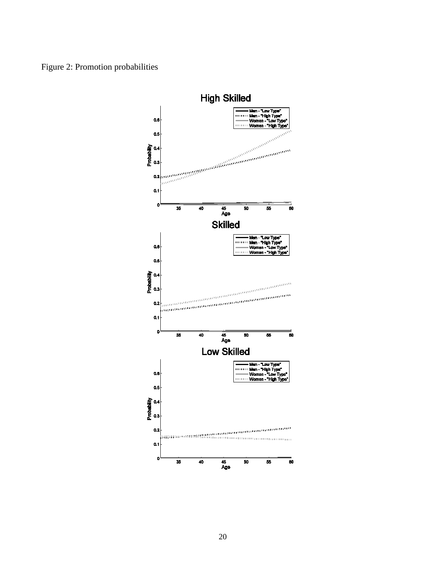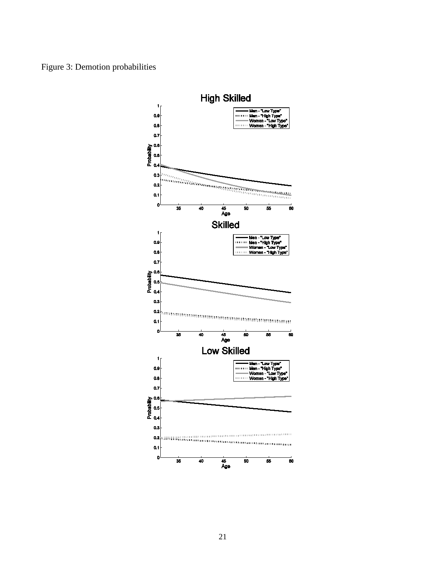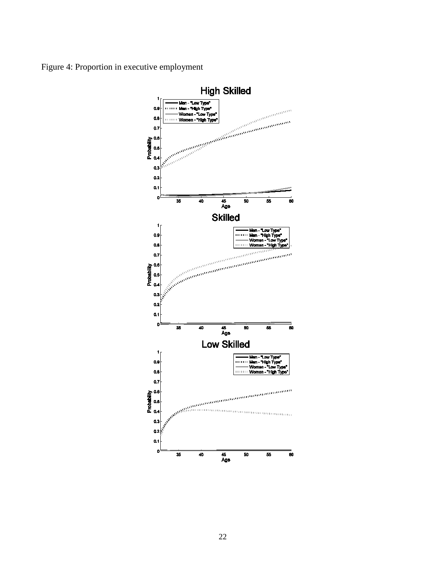Figure 4: Proportion in executive employment

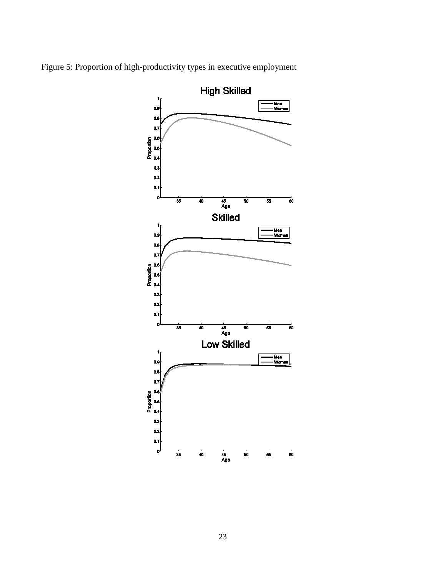

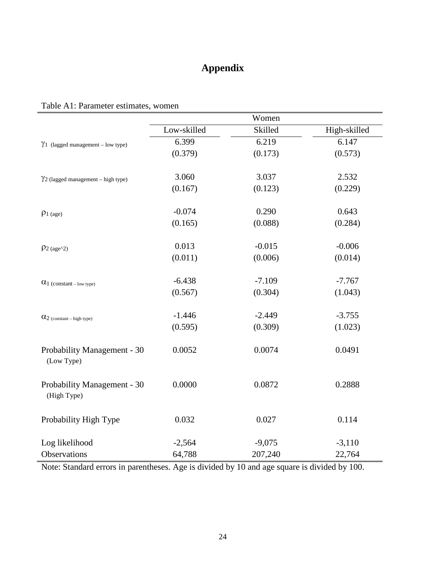## **Appendix**

## Table A1: Parameter estimates, women

|                                            | Women       |          |              |
|--------------------------------------------|-------------|----------|--------------|
|                                            | Low-skilled | Skilled  | High-skilled |
| $\gamma_1$ (lagged management – low type)  | 6.399       | 6.219    | 6.147        |
|                                            | (0.379)     | (0.173)  | (0.573)      |
| $\gamma$ 2 (lagged management – high type) | 3.060       | 3.037    | 2.532        |
|                                            | (0.167)     | (0.123)  | (0.229)      |
| $\rho_{1\ (age)}$                          | $-0.074$    | 0.290    | 0.643        |
|                                            | (0.165)     | (0.088)  | (0.284)      |
| $\rho_{2 \text{ (age}^{\wedge}2)}$         | 0.013       | $-0.015$ | $-0.006$     |
|                                            | (0.011)     | (0.006)  | (0.014)      |
| $\alpha_1$ (constant – low type)           | $-6.438$    | $-7.109$ | $-7.767$     |
|                                            | (0.567)     | (0.304)  | (1.043)      |
| $\alpha_{2}$ (constant – high type)        | $-1.446$    | $-2.449$ | $-3.755$     |
|                                            | (0.595)     | (0.309)  | (1.023)      |
| Probability Management - 30<br>(Low Type)  | 0.0052      | 0.0074   | 0.0491       |
| Probability Management - 30<br>(High Type) | 0.0000      | 0.0872   | 0.2888       |
| Probability High Type                      | 0.032       | 0.027    | 0.114        |
| Log likelihood                             | $-2,564$    | $-9,075$ | $-3,110$     |
| Observations                               | 64,788      | 207,240  | 22,764       |

Note: Standard errors in parentheses. Age is divided by 10 and age square is divided by 100.